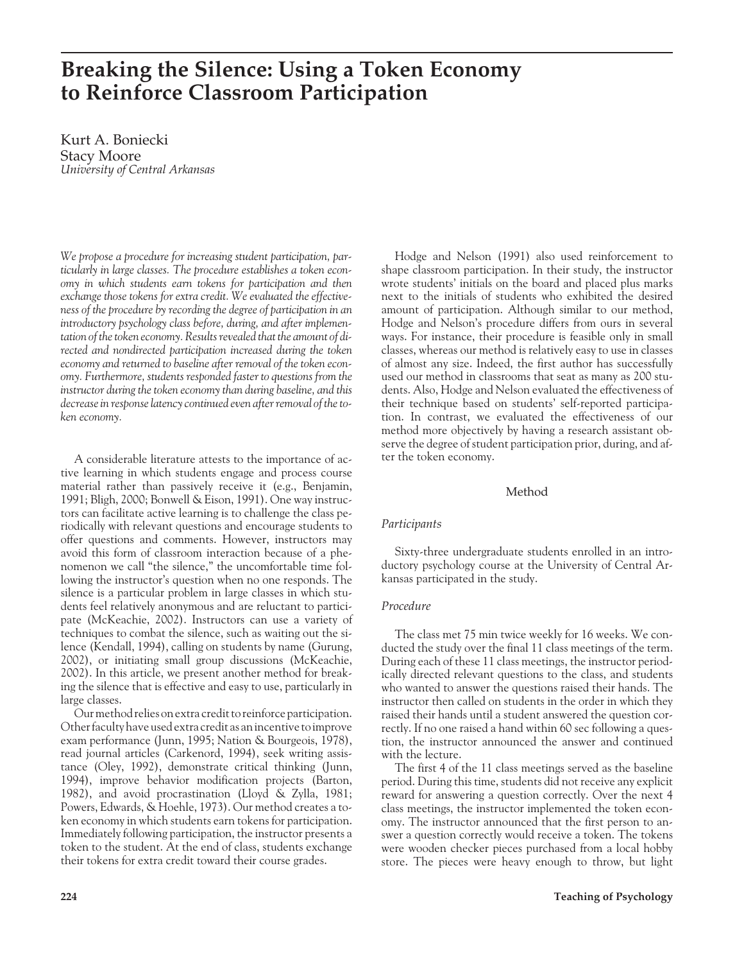# **Breaking the Silence: Using a Token Economy to Reinforce Classroom Participation**

Kurt A. Boniecki Stacy Moore *University of Central Arkansas*

*We propose a procedure for increasing student participation, particularly in large classes. The procedure establishes a token economy in which students earn tokens for participation and then exchange those tokens for extra credit. We evaluated the effectiveness of the procedure by recording the degree of participation in an introductory psychology class before, during, and after implementation of the token economy. Results revealed that the amount of directed and nondirected participation increased during the token economy and returned to baseline after removal of the token economy. Furthermore, students responded faster to questions from the instructor during the token economy than during baseline, and this decrease in response latency continued even after removal of the token economy.*

A considerable literature attests to the importance of active learning in which students engage and process course material rather than passively receive it (e.g., Benjamin, 1991; Bligh, 2000; Bonwell & Eison, 1991). One way instructors can facilitate active learning is to challenge the class periodically with relevant questions and encourage students to offer questions and comments. However, instructors may avoid this form of classroom interaction because of a phenomenon we call "the silence," the uncomfortable time following the instructor's question when no one responds. The silence is a particular problem in large classes in which students feel relatively anonymous and are reluctant to participate (McKeachie, 2002). Instructors can use a variety of techniques to combat the silence, such as waiting out the silence (Kendall, 1994), calling on students by name (Gurung, 2002), or initiating small group discussions (McKeachie, 2002). In this article, we present another method for breaking the silence that is effective and easy to use, particularly in large classes.

Our method relies on extra credit to reinforce participation. Other faculty have used extra credit as an incentive to improve exam performance (Junn, 1995; Nation & Bourgeois, 1978), read journal articles (Carkenord, 1994), seek writing assistance (Oley, 1992), demonstrate critical thinking (Junn, 1994), improve behavior modification projects (Barton, 1982), and avoid procrastination (Lloyd & Zylla, 1981; Powers, Edwards, & Hoehle, 1973). Our method creates a token economy in which students earn tokens for participation. Immediately following participation, the instructor presents a token to the student. At the end of class, students exchange their tokens for extra credit toward their course grades.

Hodge and Nelson (1991) also used reinforcement to shape classroom participation. In their study, the instructor wrote students' initials on the board and placed plus marks next to the initials of students who exhibited the desired amount of participation. Although similar to our method, Hodge and Nelson's procedure differs from ours in several ways. For instance, their procedure is feasible only in small classes, whereas our method is relatively easy to use in classes of almost any size. Indeed, the first author has successfully used our method in classrooms that seat as many as 200 students. Also, Hodge and Nelson evaluated the effectiveness of their technique based on students' self-reported participation. In contrast, we evaluated the effectiveness of our method more objectively by having a research assistant observe the degree of student participation prior, during, and after the token economy.

# Method

# *Participants*

Sixty-three undergraduate students enrolled in an introductory psychology course at the University of Central Arkansas participated in the study.

# *Procedure*

The class met 75 min twice weekly for 16 weeks. We conducted the study over the final 11 class meetings of the term. During each of these 11 class meetings, the instructor periodically directed relevant questions to the class, and students who wanted to answer the questions raised their hands. The instructor then called on students in the order in which they raised their hands until a student answered the question correctly. If no one raised a hand within 60 sec following a question, the instructor announced the answer and continued with the lecture.

The first 4 of the 11 class meetings served as the baseline period. During this time, students did not receive any explicit reward for answering a question correctly. Over the next 4 class meetings, the instructor implemented the token economy. The instructor announced that the first person to answer a question correctly would receive a token. The tokens were wooden checker pieces purchased from a local hobby store. The pieces were heavy enough to throw, but light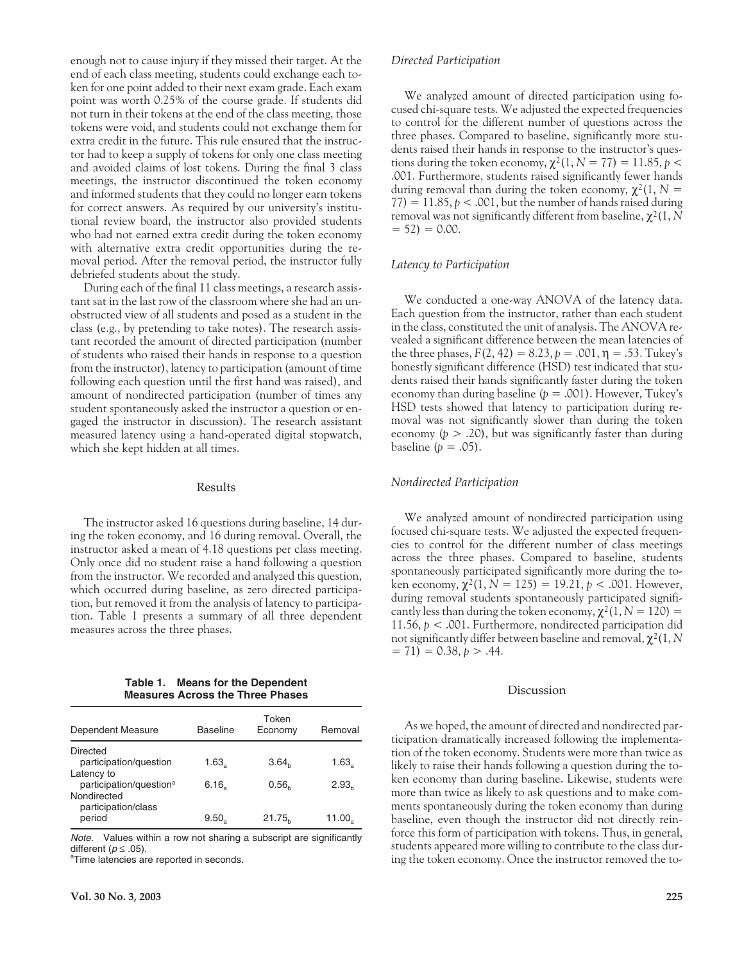enough not to cause injury if they missed their target. At the end of each class meeting, students could exchange each token for one point added to their next exam grade. Each exam point was worth 0.25% of the course grade. If students did not turn in their tokens at the end of the class meeting, those tokens were void, and students could not exchange them for extra credit in the future. This rule ensured that the instructor had to keep a supply of tokens for only one class meeting and avoided claims of lost tokens. During the final 3 class meetings, the instructor discontinued the token economy and informed students that they could no longer earn tokens for correct answers. As required by our university's institutional review board, the instructor also provided students who had not earned extra credit during the token economy with alternative extra credit opportunities during the removal period. After the removal period, the instructor fully debriefed students about the study.

During each of the final 11 class meetings, a research assistant sat in the last row of the classroom where she had an unobstructed view of all students and posed as a student in the class (e.g., by pretending to take notes). The research assistant recorded the amount of directed participation (number of students who raised their hands in response to a question from the instructor), latency to participation (amount of time following each question until the first hand was raised), and amount of nondirected participation (number of times any student spontaneously asked the instructor a question or engaged the instructor in discussion). The research assistant measured latency using a hand-operated digital stopwatch, which she kept hidden at all times.

## Results

The instructor asked 16 questions during baseline, 14 during the token economy, and 16 during removal. Overall, the instructor asked a mean of 4.18 questions per class meeting. Only once did no student raise a hand following a question from the instructor. We recorded and analyzed this question, which occurred during baseline, as zero directed participation, but removed it from the analysis of latency to participation. Table 1 presents a summary of all three dependent measures across the three phases.

**Table 1. Means for the Dependent Measures Across the Three Phases**

| Dependent Measure                                 | Baseline            | Token<br>Economy   | Removal           |
|---------------------------------------------------|---------------------|--------------------|-------------------|
| Directed<br>participation/question                | 1.63 <sub>2</sub>   | 3.64 <sub>b</sub>  | 1.63 <sub>2</sub> |
| Latency to<br>participation/question <sup>a</sup> | $6.16$ <sub>a</sub> | 0.56 <sub>b</sub>  | 2.93 <sub>h</sub> |
| Nondirected<br>participation/class<br>period      | 9.50.               | 21.75 <sub>b</sub> | 11.00。            |

Note. Values within a row not sharing a subscript are significantly different ( $p \le .05$ ).

<sup>a</sup>Time latencies are reported in seconds.

## *Directed Participation*

We analyzed amount of directed participation using focused chi-square tests. We adjusted the expected frequencies to control for the different number of questions across the three phases. Compared to baseline, significantly more students raised their hands in response to the instructor's questions during the token economy,  $\chi^2(1, N = 77) = 11.85$ ,  $p <$ .001. Furthermore, students raised significantly fewer hands during removal than during the token economy,  $\chi^2(1, N =$  $77$ ) = 11.85,  $p < .001$ , but the number of hands raised during removal was not significantly different from baseline, χ2(1, *N*  $= 52$ )  $= 0.00$ .

#### *Latency to Participation*

We conducted a one-way ANOVA of the latency data. Each question from the instructor, rather than each student in the class, constituted the unit of analysis. The ANOVA revealed a significant difference between the mean latencies of the three phases,  $F(2, 42) = 8.23$ ,  $p = .001$ ,  $\eta = .53$ . Tukey's honestly significant difference (HSD) test indicated that students raised their hands significantly faster during the token economy than during baseline (*p* = .001). However, Tukey's HSD tests showed that latency to participation during removal was not significantly slower than during the token economy  $(p > .20)$ , but was significantly faster than during baseline  $(p = .05)$ .

#### *Nondirected Participation*

We analyzed amount of nondirected participation using focused chi-square tests. We adjusted the expected frequencies to control for the different number of class meetings across the three phases. Compared to baseline, students spontaneously participated significantly more during the token economy,  $\chi^2(1, N = 125) = 19.21, p < .001$ . However, during removal students spontaneously participated significantly less than during the token economy,  $\chi^2(1, N = 120) =$ 11.56, *p* < .001. Furthermore, nondirected participation did not significantly differ between baseline and removal, χ2(1, *N*  $= 71$ )  $= 0.38, p > .44$ .

#### Discussion

As we hoped, the amount of directed and nondirected participation dramatically increased following the implementation of the token economy. Students were more than twice as likely to raise their hands following a question during the token economy than during baseline. Likewise, students were more than twice as likely to ask questions and to make comments spontaneously during the token economy than during baseline, even though the instructor did not directly reinforce this form of participation with tokens. Thus, in general, students appeared more willing to contribute to the class during the token economy. Once the instructor removed the to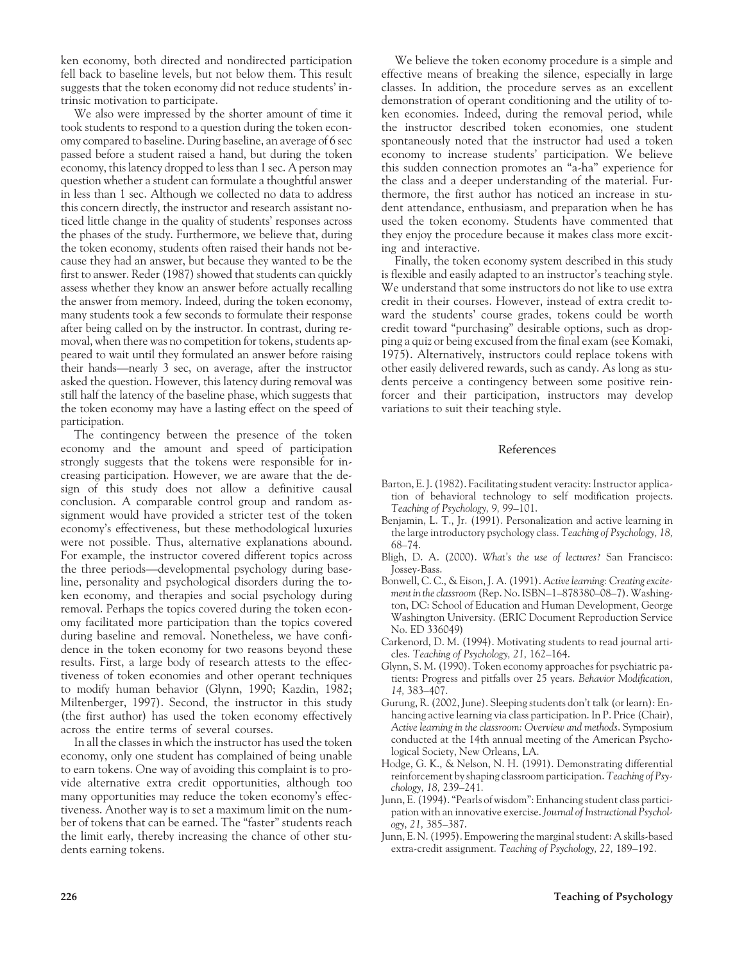ken economy, both directed and nondirected participation fell back to baseline levels, but not below them. This result suggests that the token economy did not reduce students' intrinsic motivation to participate.

We also were impressed by the shorter amount of time it took students to respond to a question during the token economy compared to baseline. During baseline, an average of 6 sec passed before a student raised a hand, but during the token economy, this latency dropped to less than 1 sec. A person may question whether a student can formulate a thoughtful answer in less than 1 sec. Although we collected no data to address this concern directly, the instructor and research assistant noticed little change in the quality of students' responses across the phases of the study. Furthermore, we believe that, during the token economy, students often raised their hands not because they had an answer, but because they wanted to be the first to answer. Reder (1987) showed that students can quickly assess whether they know an answer before actually recalling the answer from memory. Indeed, during the token economy, many students took a few seconds to formulate their response after being called on by the instructor. In contrast, during removal, when there was no competition for tokens, students appeared to wait until they formulated an answer before raising their hands—nearly 3 sec, on average, after the instructor asked the question. However, this latency during removal was still half the latency of the baseline phase, which suggests that the token economy may have a lasting effect on the speed of participation.

The contingency between the presence of the token economy and the amount and speed of participation strongly suggests that the tokens were responsible for increasing participation. However, we are aware that the design of this study does not allow a definitive causal conclusion. A comparable control group and random assignment would have provided a stricter test of the token economy's effectiveness, but these methodological luxuries were not possible. Thus, alternative explanations abound. For example, the instructor covered different topics across the three periods—developmental psychology during baseline, personality and psychological disorders during the token economy, and therapies and social psychology during removal. Perhaps the topics covered during the token economy facilitated more participation than the topics covered during baseline and removal. Nonetheless, we have confidence in the token economy for two reasons beyond these results. First, a large body of research attests to the effectiveness of token economies and other operant techniques to modify human behavior (Glynn, 1990; Kazdin, 1982; Miltenberger, 1997). Second, the instructor in this study (the first author) has used the token economy effectively across the entire terms of several courses.

In all the classes in which the instructor has used the token economy, only one student has complained of being unable to earn tokens. One way of avoiding this complaint is to provide alternative extra credit opportunities, although too many opportunities may reduce the token economy's effectiveness. Another way is to set a maximum limit on the number of tokens that can be earned. The "faster" students reach the limit early, thereby increasing the chance of other students earning tokens.

We believe the token economy procedure is a simple and effective means of breaking the silence, especially in large classes. In addition, the procedure serves as an excellent demonstration of operant conditioning and the utility of token economies. Indeed, during the removal period, while the instructor described token economies, one student spontaneously noted that the instructor had used a token economy to increase students' participation. We believe this sudden connection promotes an "a-ha" experience for the class and a deeper understanding of the material. Furthermore, the first author has noticed an increase in student attendance, enthusiasm, and preparation when he has used the token economy. Students have commented that they enjoy the procedure because it makes class more exciting and interactive.

Finally, the token economy system described in this study is flexible and easily adapted to an instructor's teaching style. We understand that some instructors do not like to use extra credit in their courses. However, instead of extra credit toward the students' course grades, tokens could be worth credit toward "purchasing" desirable options, such as dropping a quiz or being excused from the final exam (see Komaki, 1975). Alternatively, instructors could replace tokens with other easily delivered rewards, such as candy. As long as students perceive a contingency between some positive reinforcer and their participation, instructors may develop variations to suit their teaching style.

### References

- Barton, E. J. (1982). Facilitating student veracity: Instructor application of behavioral technology to self modification projects. *Teaching of Psychology, 9,* 99–101.
- Benjamin, L. T., Jr. (1991). Personalization and active learning in the large introductory psychology class. *Teaching of Psychology, 18,* 68–74.
- Bligh, D. A. (2000). *What's the use of lectures?* San Francisco: Jossey-Bass.
- Bonwell, C. C., & Eison, J. A. (1991). *Active learning: Creating excitement in the classroom* (Rep. No. ISBN–1–878380–08–7). Washington, DC: School of Education and Human Development, George Washington University. (ERIC Document Reproduction Service No. ED 336049)
- Carkenord, D. M. (1994). Motivating students to read journal articles. *Teaching of Psychology, 21,* 162–164.
- Glynn, S. M. (1990). Token economy approaches for psychiatric patients: Progress and pitfalls over 25 years. *Behavior Modification, 14,* 383–407.
- Gurung, R. (2002, June). Sleeping students don't talk (or learn): Enhancing active learning via class participation. In P. Price (Chair), *Active learning in the classroom: Overview and methods*. Symposium conducted at the 14th annual meeting of the American Psychological Society, New Orleans, LA.
- Hodge, G. K., & Nelson, N. H. (1991). Demonstrating differential reinforcement by shaping classroom participation.*Teaching of Psychology, 18,* 239–241.
- Junn, E. (1994). "Pearls of wisdom": Enhancing student class participation with an innovative exercise. *Journal of Instructional Psychology, 21,* 385–387.
- Junn, E. N. (1995). Empowering the marginal student: A skills-based extra-credit assignment. *Teaching of Psychology, 22,* 189–192.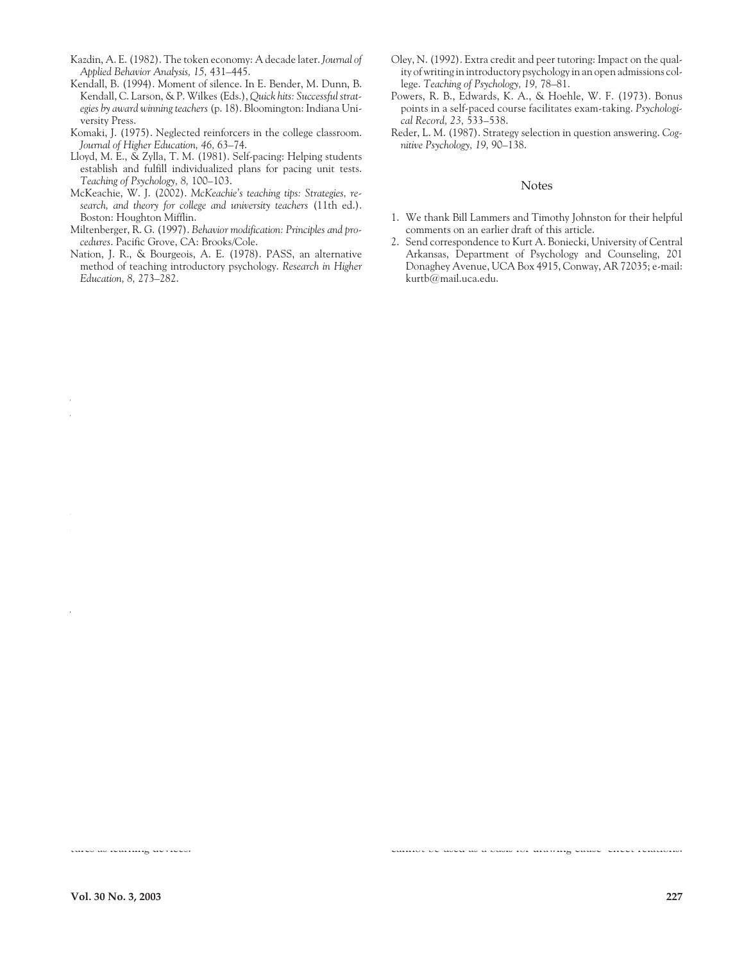- Kazdin, A. E. (1982). The token economy: A decade later. *Journal of Applied Behavior Analysis, 15,* 431–445.
- Kendall, B. (1994). Moment of silence. In E. Bender, M. Dunn, B. Kendall, C. Larson, & P. Wilkes (Eds.), *Quick hits: Successful strategies by award winning teachers* (p. 18). Bloomington: Indiana University Press.
- Komaki, J. (1975). Neglected reinforcers in the college classroom. *Journal of Higher Education, 46,* 63–74.
- Lloyd, M. E., & Zylla, T. M. (1981). Self-pacing: Helping students establish and fulfill individualized plans for pacing unit tests. *Teaching of Psychology, 8,* 100–103.
- McKeachie, W. J. (2002). *McKeachie's teaching tips: Strategies, research, and theory for college and university teachers* (11th ed.). Boston: Houghton Mifflin.
- Miltenberger, R. G. (1997). *Behavior modification: Principles and procedures*. Pacific Grove, CA: Brooks/Cole.
- Nation, J. R., & Bourgeois, A. E. (1978). PASS, an alternative method of teaching introductory psychology. *Research in Higher Education, 8,* 273–282.
- Oley, N. (1992). Extra credit and peer tutoring: Impact on the quality of writing in introductory psychology in an open admissions college. *Teaching of Psychology, 19,* 78–81.
- Powers, R. B., Edwards, K. A., & Hoehle, W. F. (1973). Bonus points in a self-paced course facilitates exam-taking. *Psychological Record, 23,* 533–538.
- Reder, L. M. (1987). Strategy selection in question answering. *Cognitive Psychology, 19,* 90–138.

#### Notes

- 1. We thank Bill Lammers and Timothy Johnston for their helpful comments on an earlier draft of this article.
- 2. Send correspondence to Kurt A. Boniecki, University of Central Arkansas, Department of Psychology and Counseling, 201 Donaghey Avenue, UCA Box 4915, Conway, AR 72035; e-mail: kurtb@mail.uca.edu.

tures as learning devices.